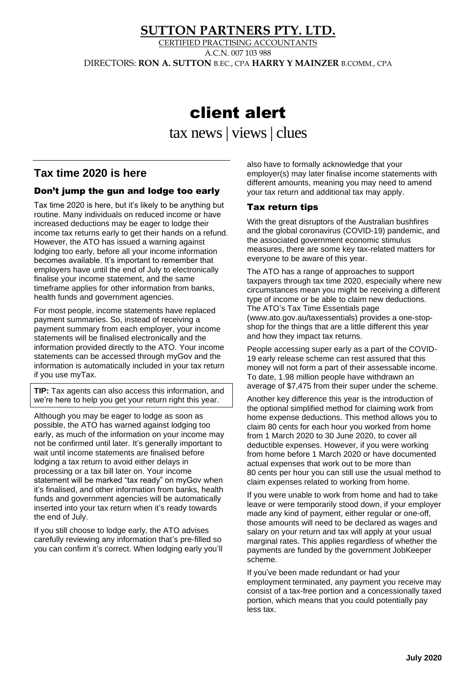# **SUTTON PARTNERS PTY. LTD.**

CERTIFIED PRACTISING ACCOUNTANTS A.C.N. 007 103 988 DIRECTORS: **RON A. SUTTON** B.EC., CPA **HARRY Y MAINZER** B.COMM., CPA

# client alert

tax news | views| clues

# **Tax time 2020 is here**

#### Don't jump the gun and lodge too early

Tax time 2020 is here, but it's likely to be anything but routine. Many individuals on reduced income or have increased deductions may be eager to lodge their income tax returns early to get their hands on a refund. However, the ATO has issued a warning against lodging too early, before all your income information becomes available. It's important to remember that employers have until the end of July to electronically finalise your income statement, and the same timeframe applies for other information from banks, health funds and government agencies.

For most people, income statements have replaced payment summaries. So, instead of receiving a payment summary from each employer, your income statements will be finalised electronically and the information provided directly to the ATO. Your income statements can be accessed through myGov and the information is automatically included in your tax return if you use myTax.

**TIP:** Tax agents can also access this information, and we're here to help you get your return right this year.

Although you may be eager to lodge as soon as possible, the ATO has warned against lodging too early, as much of the information on your income may not be confirmed until later. It's generally important to wait until income statements are finalised before lodging a tax return to avoid either delays in processing or a tax bill later on. Your income statement will be marked "tax ready" on myGov when it's finalised, and other information from banks, health funds and government agencies will be automatically inserted into your tax return when it's ready towards the end of July.

If you still choose to lodge early, the ATO advises carefully reviewing any information that's pre-filled so you can confirm it's correct. When lodging early you'll

also have to formally acknowledge that your employer(s) may later finalise income statements with different amounts, meaning you may need to amend your tax return and additional tax may apply.

#### Tax return tips

With the great disruptors of the Australian bushfires and the global coronavirus (COVID-19) pandemic, and the associated government economic stimulus measures, there are some key tax-related matters for everyone to be aware of this year.

The ATO has a range of approaches to support taxpayers through tax time 2020, especially where new circumstances mean you might be receiving a different type of income or be able to claim new deductions. The ATO's Tax Time Essentials page (www.ato.gov.au/taxessentials) provides a one-stopshop for the things that are a little different this year and how they impact tax returns.

People accessing super early as a part of the COVID-19 early release scheme can rest assured that this money will not form a part of their assessable income. To date, 1.98 million people have withdrawn an average of \$7,475 from their super under the scheme.

Another key difference this year is the introduction of the optional simplified method for claiming work from home expense deductions. This method allows you to claim 80 cents for each hour you worked from home from 1 March 2020 to 30 June 2020, to cover all deductible expenses. However, if you were working from home before 1 March 2020 or have documented actual expenses that work out to be more than 80 cents per hour you can still use the usual method to claim expenses related to working from home.

If you were unable to work from home and had to take leave or were temporarily stood down, if your employer made any kind of payment, either regular or one-off, those amounts will need to be declared as wages and salary on your return and tax will apply at your usual marginal rates. This applies regardless of whether the payments are funded by the government JobKeeper scheme.

If you've been made redundant or had your employment terminated, any payment you receive may consist of a tax-free portion and a concessionally taxed portion, which means that you could potentially pay less tax.